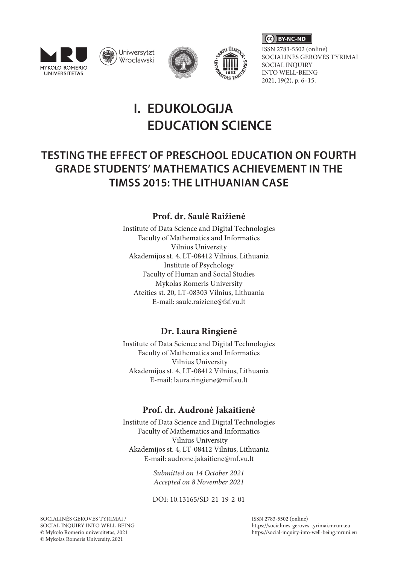







CC BY-NC-ND

ISSN 2783-5502 (online) SOCIALINĖS GEROVĖS TYRIMAI SOCIAL INQUIRY INTO WELL-BEING 2021, 19(2), p. 6–15.

# **I. EDUKOLOGIJA EDUCATION SCIENCE**

## **Testing THE EFFECT OF preschool education on fourth grade students' mathematics achievement in the TIMSS 2015: THE Lithuanian case**

## **Prof. dr. Saulė Raižienė**

Institute of Data Science and Digital Technologies Faculty of Mathematics and Informatics Vilnius University Akademijos st. 4, LT-08412 Vilnius, Lithuania Institute of Psychology Faculty of Human and Social Studies Mykolas Romeris University Ateities st. 20, LT-08303 Vilnius, Lithuania E-mail: saule.raiziene@fsf.vu.lt

## **Dr. Laura Ringienė**

Institute of Data Science and Digital Technologies Faculty of Mathematics and Informatics Vilnius University Akademijos st. 4, LT-08412 Vilnius, Lithuania E-mail: [laura.ringiene@mif.vu.lt](mailto:laura.ringiene@mif.vu.lt)

## **Prof. dr. Audronė Jakaitienė**

Institute of Data Science and Digital Technologies Faculty of Mathematics and Informatics Vilnius University Akademijos st. 4, LT-08412 Vilnius, Lithuania E-mail: [audrone.jakaitiene@mf.vu.lt](mailto:audrone.jakaitiene@mf.vu.lt)

> *Submitted on 14 October 2021 Accepted on 8 November 2021*

> DOI: 10.13165/SD-21-19-2-01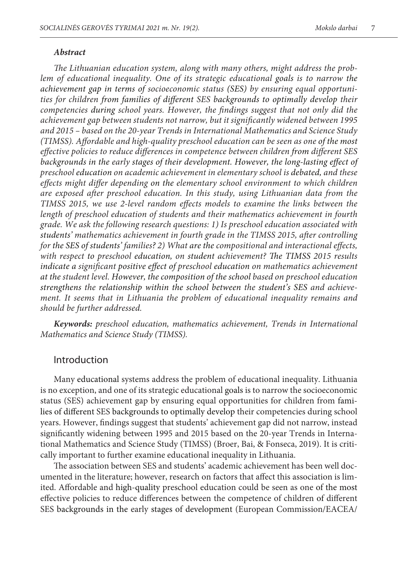#### *Abstract*

*The Lithuanian education system, along with many others, might address the problem of educational inequality. One of its strategic educational goals is to narrow the achievement gap in terms of socioeconomic status (SES) by ensuring equal opportunities for children from families of different SES backgrounds to optimally develop their competencies during school years. However, the findings suggest that not only did the achievement gap between students not narrow, but it significantly widened between 1995 and 2015 – based on the 20-year Trends in International Mathematics and Science Study (TIMSS). Affordable and high-quality preschool education can be seen as one of the most effective policies to reduce differences in competence between children from different SES backgrounds in the early stages of their development. However, the long-lasting effect of preschool education on academic achievement in elementary school is debated, and these effects might differ depending on the elementary school environment to which children are exposed after preschool education. In this study, using Lithuanian data from the TIMSS 2015, we use 2-level random effects models to examine the links between the length of preschool education of students and their mathematics achievement in fourth grade. We ask the following research questions: 1) Is preschool education associated with students' mathematics achievement in fourth grade in the TIMSS 2015, after controlling for the SES of students' families? 2) What are the compositional and interactional effects, with respect to preschool education, on student achievement? The TIMSS 2015 results indicate a significant positive effect of preschool education on mathematics achievement at the student level. However, the composition of the school based on preschool education strengthens the relationship within the school between the student's SES and achievement. It seems that in Lithuania the problem of educational inequality remains and should be further addressed.* 

*Keywords: preschool education, mathematics achievement, Trends in International Mathematics and Science Study (TIMSS).* 

#### Introduction

Many educational systems address the problem of educational inequality. Lithuania is no exception, and one of its strategic educational goals is to narrow the socioeconomic status (SES) achievement gap by ensuring equal opportunities for children from families of different SES backgrounds to optimally develop their competencies during school years. However, findings suggest that students' achievement gap did not narrow, instead significantly widening between 1995 and 2015 based on the 20-year Trends in International Mathematics and Science Study (TIMSS) (Broer, Bai, & Fonseca, 2019). It is critically important to further examine educational inequality in Lithuania.

The association between SES and students' academic achievement has been well documented in the literature; however, research on factors that affect this association is limited. Affordable and high-quality preschool education could be seen as one of the most effective policies to reduce differences between the competence of children of different SES backgrounds in the early stages of development (European Commission/EACEA/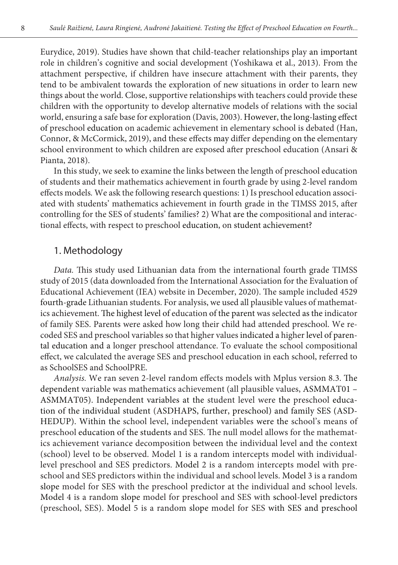Eurydice, 2019). Studies have shown that child-teacher relationships play an important role in children's cognitive and social development (Yoshikawa et al., 2013). From the attachment perspective, if children have insecure attachment with their parents, they tend to be ambivalent towards the exploration of new situations in order to learn new things about the world. Close, supportive relationships with teachers could provide these children with the opportunity to develop alternative models of relations with the social world, ensuring a safe base for exploration (Davis, 2003). However, the long-lasting effect of preschool education on academic achievement in elementary school is debated (Han, Connor, & McCormick, 2019), and these effects may differ depending on the elementary school environment to which children are exposed after preschool education (Ansari & Pianta, 2018).

In this study, we seek to examine the links between the length of preschool education of students and their mathematics achievement in fourth grade by using 2-level random effects models*.* We ask the following research questions: 1) Is preschool education associated with students' mathematics achievement in fourth grade in the TIMSS 2015, after controlling for the SES of students' families? 2) What are the compositional and interactional effects, with respect to preschool education, on student achievement?

### 1. Methodology

*Data.* This study used Lithuanian data from the international fourth grade TIMSS study of 2015 (data downloaded from the International Association for the Evaluation of Educational Achievement (IEA) website in December, 2020). The sample included 4529 fourth-grade Lithuanian students. For analysis, we used all plausible values of mathematics achievement. The highest level of education of the parent was selected as the indicator of family SES. Parents were asked how long their child had attended preschool. We recoded SES and preschool variables so that higher values indicated a higher level of parental education and a longer preschool attendance. To evaluate the school compositional effect, we calculated the average SES and preschool education in each school, referred to as SchoolSES and SchoolPRE.

*Analysis.* We ran seven 2-level random effects models with Mplus version 8.3. The dependent variable was mathematics achievement (all plausible values, ASMMAT01 – ASMMAT05). Independent variables at the student level were the preschool education of the individual student (ASDHAPS, further, preschool) and family SES (ASD-HEDUP). Within the school level, independent variables were the school's means of preschool education of the students and SES. The null model allows for the mathematics achievement variance decomposition between the individual level and the context (school) level to be observed. Model 1 is a random intercepts model with individuallevel preschool and SES predictors. Model 2 is a random intercepts model with preschool and SES predictors within the individual and school levels. Model 3 is a random slope model for SES with the preschool predictor at the individual and school levels. Model 4 is a random slope model for preschool and SES with school-level predictors (preschool, SES). Model 5 is a random slope model for SES with SES and preschool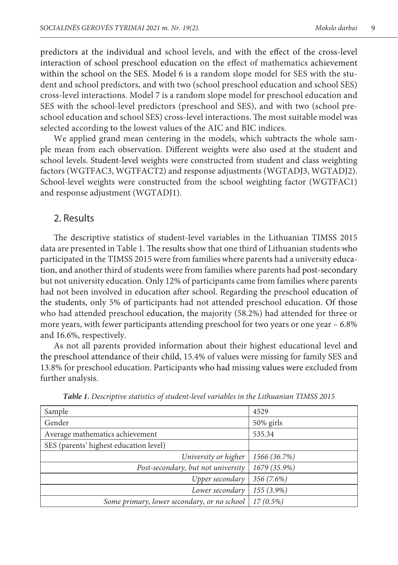predictors at the individual and school levels, and with the effect of the cross-level interaction of school preschool education on the effect of mathematics achievement within the school on the SES. Model 6 is a random slope model for SES with the student and school predictors, and with two (school preschool education and school SES) cross-level interactions. Model 7 is a random slope model for preschool education and SES with the school-level predictors (preschool and SES), and with two (school preschool education and school SES) cross-level interactions. The most suitable model was selected according to the lowest values of the AIC and BIC indices.

We applied grand mean centering in the models, which subtracts the whole sample mean from each observation. Different weights were also used at the student and school levels. Student-level weights were constructed from student and class weighting factors (WGTFAC3, WGTFACT2) and response adjustments (WGTADJ3, WGTADJ2). School-level weights were constructed from the school weighting factor (WGTFAC1) and response adjustment (WGTADJ1).

#### 2. Results

The descriptive statistics of student-level variables in the Lithuanian TIMSS 2015 data are presented in Table 1. The results show that one third of Lithuanian students who participated in the TIMSS 2015 were from families where parents had a university education, and another third of students were from families where parents had post-secondary but not university education. Only 12% of participants came from families where parents had not been involved in education after school. Regarding the preschool education of the students, only 5% of participants had not attended preschool education. Of those who had attended preschool education, the majority (58.2%) had attended for three or more years, with fewer participants attending preschool for two years or one year  $-6.8\%$ and 16.6%, respectively.

As not all parents provided information about their highest educational level and the preschool attendance of their child, 15.4% of values were missing for family SES and 13.8% for preschool education. Participants who had missing values were excluded from further analysis.

| Sample                                      | 4529         |  |  |
|---------------------------------------------|--------------|--|--|
| Gender                                      | $50\%$ girls |  |  |
| Average mathematics achievement             | 535.34       |  |  |
| SES (parents' highest education level)      |              |  |  |
| University or higher                        | 1566 (36.7%) |  |  |
| Post-secondary, but not university          | 1679 (35.9%) |  |  |
| Upper secondary                             | 356 (7.6%)   |  |  |
| Lower secondary                             | 155 (3.9%)   |  |  |
| Some primary, lower secondary, or no school | $17(0.5\%)$  |  |  |

*Table 1. Descriptive statistics of student-level variables in the Lithuanian TIMSS 2015*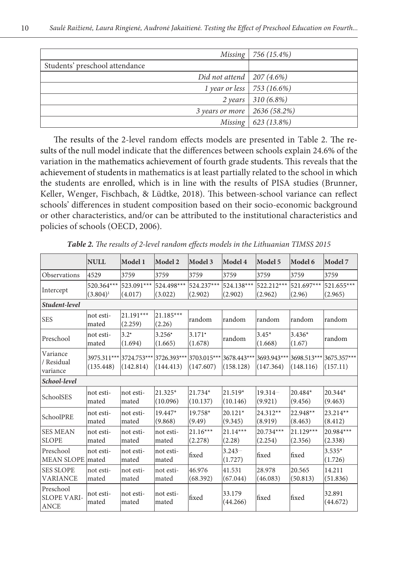|                                | Missing   $756(15.4\%)$ |
|--------------------------------|-------------------------|
| Students' preschool attendance |                         |
| Did not attend   $207(4.6%)$   |                         |
| 1 year or less   753 (16.6%)   |                         |
|                                | 2 years   $310(6.8\%)$  |
| 3 years or more   2636 (58.2%) |                         |
|                                | Missing   $623$ (13.8%) |

The results of the 2-level random effects models are presented in Table 2. The results of the null model indicate that the differences between schools explain 24.6% of the variation in the mathematics achievement of fourth grade students. This reveals that the achievement of students in mathematics is at least partially related to the school in which the students are enrolled, which is in line with the results of PISA studies (Brunner, Keller, Wenger, Fischbach, & Lüdtke, 2018). This between-school variance can reflect schools' differences in student composition based on their socio-economic background or other characteristics, and/or can be attributed to the institutional characteristics and policies of schools (OECD, 2006).

|                                                | <b>NULL</b>               | Model 1               | Model 2                                                                                                       | Model 3                         | Model 4               | Model 5               | Model 6                | Model 7               |
|------------------------------------------------|---------------------------|-----------------------|---------------------------------------------------------------------------------------------------------------|---------------------------------|-----------------------|-----------------------|------------------------|-----------------------|
| Observations                                   | 4529                      | 3759                  | 3759                                                                                                          | 3759                            | 3759                  | 3759                  | 3759                   | 3759                  |
| Intercept                                      | 520.364***<br>$(3.804)^1$ | 523.091***<br>(4.017) | 524.498***<br>(3.022)                                                                                         | 524.237***<br>(2.902)           | 524.138***<br>(2.902) | 522.212***<br>(2.962) | 521.697***<br>(2.96)   | 521.655***<br>(2.965) |
| Student-level                                  |                           |                       |                                                                                                               |                                 |                       |                       |                        |                       |
| <b>SES</b>                                     | not esti-<br>mated        | 21.191***<br>(2.259)  | 21.185***<br>(2.26)                                                                                           | lrandom                         | lrandom               | lrandom               | lrandom                | lrandom               |
| Preschool                                      | not esti-<br>mated        | $3.2^*$<br>(1.694)    | $3.256*$<br>(1.665)                                                                                           | $3.171$ <sup>*</sup><br>(1.678) | lrandom               | $3.45*$<br>(1.668)    | $3.436*$<br>(1.67)     | lrandom               |
| Variance<br>/ Residual<br>variance             | (135.448)                 | (142.814)             | 3975.311*** 3724.753*** 3726.393*** 3703.015*** 3678.443*** 3693.943*** 3698.513*** 3675.357*** <br>(144.413) | (147.607)                       | (158.128)             | (147.364)             | (148.116)              | (157.11)              |
| School-level                                   |                           |                       |                                                                                                               |                                 |                       |                       |                        |                       |
| SchoolSES                                      | not esti-<br>lmated       | not esti-<br>lmated   | 21.325*<br>(10.096)                                                                                           | 21.734*<br>(10.137)             | 21.519*<br>(10.146)   | 19.314<br>(9.921)     | $20.484*$<br>(9.456)   | 20.344*<br>(9.463)    |
| SchoolPRE                                      | not esti-<br>mated        | not esti-<br>lmated   | 19.447*<br>(9.868)                                                                                            | 19.758*<br>(9.49)               | 20.121*<br>(9.345)    | 24.312**<br>(8.919)   | 22.948**<br>(8.463)    | 23.214**<br>(8.412)   |
| <b>SES MEAN</b><br><b>SLOPE</b>                | not esti-<br>lmated       | not esti-<br>mated    | not esti-<br>lmated                                                                                           | $21.16***$<br>(2.278)           | $21.14***$<br>(2.28)  | 20.734***<br>(2.254)  | $21.129***$<br>(2.356) | 20.984***<br>(2.338)  |
| Preschool<br>MEAN SLOPE mated                  | not esti-                 | not esti-<br>lmated   | not esti-<br>mated                                                                                            | lfixed                          | 3.243<br>(1.727)      | lfixed                | lfixed                 | $3.535*$<br>(1.726)   |
| <b>SES SLOPE</b><br><b>VARIANCE</b>            | not esti-<br>mated        | not esti-<br>mated    | not esti-<br>mated                                                                                            | 46.976<br>(68.392)              | 41.531<br>(67.044)    | 28.978<br>(46.083)    | 20.565<br>(50.813)     | 14.211<br>(51.836)    |
| Preschool<br><b>SLOPE VARI-</b><br><b>ANCE</b> | not esti-<br>mated        | not esti-<br>mated    | not esti-<br>mated                                                                                            | fixed                           | 33.179<br>(44.266)    | fixed                 | fixed                  | 32.891<br>(44.672)    |

*Table 2. The results of 2-level random effects models in the Lithuanian TIMSS 2015*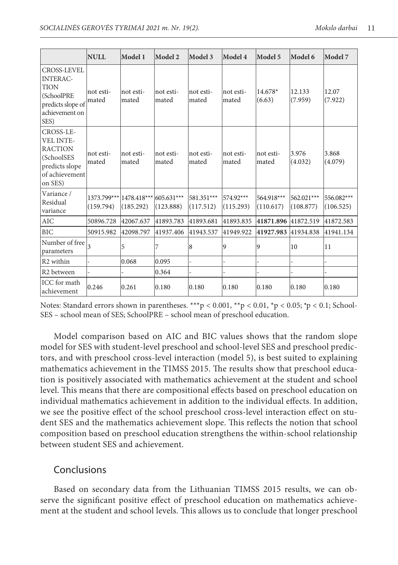|                                                                                                              | <b>NULL</b>              | Model 1                  | Model 2                 | Model 3                 | Model 4                | Model 5                 | Model 6                 | Model 7                 |
|--------------------------------------------------------------------------------------------------------------|--------------------------|--------------------------|-------------------------|-------------------------|------------------------|-------------------------|-------------------------|-------------------------|
| CROSS-LEVEL<br><b>INTERAC-</b><br><b>TION</b><br>(SchoolPRE<br>predicts slope of<br>achievement on<br>SES)   | not esti-<br>mated       | not esti-<br>mated       | not esti-<br>mated      | not esti-<br>lmated     | not esti-<br>mated     | 14.678*<br>(6.63)       | 12.133<br>(7.959)       | 12.07<br>(7.922)        |
| CROSS-LE-<br><b>VEL INTE-</b><br><b>RACTION</b><br>(SchoolSES<br>predicts slope<br>of achievement<br>on SES) | not esti-<br> mated      | not esti-<br>mated       | not esti-<br>mated      | not esti-<br>mated      | not esti-<br>mated     | not esti-<br>mated      | 3.976<br>(4.032)        | 3.868<br>(4.079)        |
| Variance /<br>Residual<br>variance                                                                           | 1373.799***<br>(159.794) | 1478.418***<br>(185.292) | 605.631***<br>(123.888) | 581.351***<br>(117.512) | 574.92***<br>(115.293) | 564.918***<br>(110.617) | 562.021***<br>(108.877) | 556.082***<br>(106.525) |
| <b>AIC</b>                                                                                                   | 50896.728                | 42067.637                | 41893.783               | 41893.681               | 41893.835              | 41871.896               | 41872.519               | 41872.583               |
| <b>BIC</b>                                                                                                   | 50915.982                | 42098.797                | 41937.406               | 41943.537               | 41949.922              | 41927.983               | 41934.838               | 41941.134               |
| Number of free<br>parameters                                                                                 | $\overline{\mathbf{3}}$  | 5                        | 7                       | 18                      | 9                      | 9                       | 10                      | 11                      |
| R <sub>2</sub> within                                                                                        |                          | 0.068                    | 0.095                   |                         |                        |                         |                         |                         |
| R <sub>2</sub> between                                                                                       |                          |                          | 0.364                   |                         |                        |                         |                         |                         |
| ICC for math<br>achievement                                                                                  | 0.246                    | 0.261                    | 0.180                   | 0.180                   | 0.180                  | 0.180                   | 0.180                   | 0.180                   |

Notes: Standard errors shown in parentheses. \*\*\*p < 0.001, \*\*p < 0.01, \*p < 0.05; \*p < 0.1; School-SES – school mean of SES; SchoolPRE – school mean of preschool education.

Model comparison based on AIC and BIC values shows that the random slope model for SES with student-level preschool and school-level SES and preschool predictors, and with preschool cross-level interaction (model 5), is best suited to explaining mathematics achievement in the TIMSS 2015. The results show that preschool education is positively associated with mathematics achievement at the student and school level. This means that there are compositional effects based on preschool education on individual mathematics achievement in addition to the individual effects. In addition, we see the positive effect of the school preschool cross-level interaction effect on student SES and the mathematics achievement slope. This reflects the notion that school composition based on preschool education strengthens the within-school relationship between student SES and achievement.

#### Conclusions

Based on secondary data from the Lithuanian TIMSS 2015 results, we can observe the significant positive effect of preschool education on mathematics achievement at the student and school levels. This allows us to conclude that longer preschool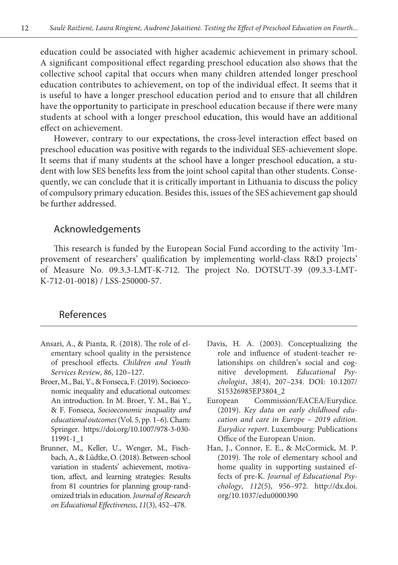education could be associated with higher academic achievement in primary school. A significant compositional effect regarding preschool education also shows that the collective school capital that occurs when many children attended longer preschool education contributes to achievement, on top of the individual effect. It seems that it is useful to have a longer preschool education period and to ensure that all children have the opportunity to participate in preschool education because if there were many students at school with a longer preschool education, this would have an additional effect on achievement.

However, contrary to our expectations, the cross-level interaction effect based on preschool education was positive with regards to the individual SES-achievement slope. It seems that if many students at the school have a longer preschool education, a student with low SES benefits less from the joint school capital than other students. Consequently, we can conclude that it is critically important in Lithuania to discuss the policy of compulsory primary education. Besides this, issues of the SES achievement gap should be further addressed.

#### Acknowledgements

This research is funded by the European Social Fund according to the activity 'Improvement of researchers' qualification by implementing world-class R&D projects' of Measure No. 09.3.3-LMT-K-712. The project No. DOTSUT-39 (09.3.3-LMT-K-712-01-0018) / LSS-250000-57.

### References

- Ansari, A., & Pianta, R. (2018). The role of elementary school quality in the persistence of preschool effects. *Children and Youth Services Review*, *86*, 120–127.
- Broer, M., Bai, Y., & Fonseca, F. (2019). Socioeconomic inequality and educational outcomes: An introduction. In M. Broer, Y. M., Bai Y., & F. Fonseca, *Socioeconomic inequality and educational outcomes* (Vol. 5, pp. 1–6). Cham: Springer. [https://doi.org/10.1007/978-3-030-](https://doi.org/10.1007/978-3-030-11991-1_1) [11991-1\\_1](https://doi.org/10.1007/978-3-030-11991-1_1)
- Brunner, M., Keller, U., Wenger, M., Fischbach, A., & Lüdtke, O. (2018). Between-school variation in students' achievement, motivation, affect, and learning strategies: Results from 81 countries for planning group-randomized trials in education. *Journal of Research on Educational Effectiveness*, *11*(3), 452–478.
- Davis, H. A. (2003). Conceptualizing the role and influence of student-teacher relationships on children's social and cognitive development. *Educational Psychologist*, *38*(4), 207–234. DOI:  [10.1207/](https://doi.org/10.1207/S15326985EP3804_2) [S15326985EP3804\\_2](https://doi.org/10.1207/S15326985EP3804_2)
- European Commission/EACEA/Eurydice. (2019). *Key data on early childhood education and care in Europe – 2019 edition. Eurydice report*. Luxembourg: Publications Office of the European Union.
- Han, J., Connor, E. E., & McCormick, M. P. (2019). The role of elementary school and home quality in supporting sustained effects of pre-K. *Journal of Educational Psychology*, *112*(5), 956–972. http://dx.doi. org/10.1037/edu0000390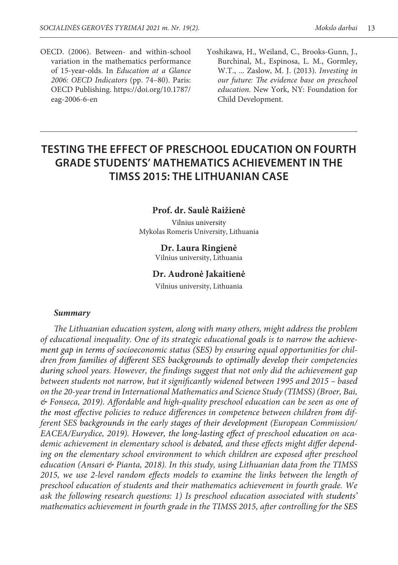- OECD. (2006). Between- and within-school variation in the mathematics performance of 15-year-olds. In *Education at a Glance 2006: OECD Indicators* (pp. 74–80). Paris: OECD Publishing. [https://doi.org/10.1787/](https://doi.org/10.1787/eag-2006-6-en) [eag-2006-6-en](https://doi.org/10.1787/eag-2006-6-en)
- Yoshikawa, H., Weiland, C., Brooks-Gunn, J., Burchinal, M., Espinosa, L. M., Gormley, W.T., ... Zaslow, M. J. (2013). *Investing in our future: The evidence base on preschool education*. New York, NY: Foundation for Child Development.

## **Testing THE EFFECT OF preschool education on fourth grade students' mathematics achievement in the TIMSS 2015: THE Lithuanian case**

#### **Prof. dr. Saulė Raižienė**

Vilnius university Mykolas Romeris University, Lithuania

#### **Dr. Laura Ringienė**

Vilnius university, Lithuania

#### **Dr. Audronė Jakaitienė**

Vilnius university, Lithuania

#### *Summary*

*The Lithuanian education system, along with many others, might address the problem of educational inequality. One of its strategic educational goals is to narrow the achievement gap in terms of socioeconomic status (SES) by ensuring equal opportunities for children from families of different SES backgrounds to optimally develop their competencies during school years. However, the findings suggest that not only did the achievement gap between students not narrow, but it significantly widened between 1995 and 2015 – based on the 20-year trend in International Mathematics and Science Study (TIMSS) (Broer, Bai, & Fonseca, 2019). Affordable and high-quality preschool education can be seen as one of the most effective policies to reduce differences in competence between children from different SES backgrounds in the early stages of their development (European Commission/ EACEA/Eurydice, 2019). However, the long-lasting effect of preschool education on academic achievement in elementary school is debated, and these effects might differ depending on the elementary school environment to which children are exposed after preschool education (Ansari & Pianta, 2018). In this study, using Lithuanian data from the TIMSS 2015, we use 2-level random effects models to examine the links between the length of preschool education of students and their mathematics achievement in fourth grade. We ask the following research questions: 1) Is preschool education associated with students' mathematics achievement in fourth grade in the TIMSS 2015, after controlling for the SES*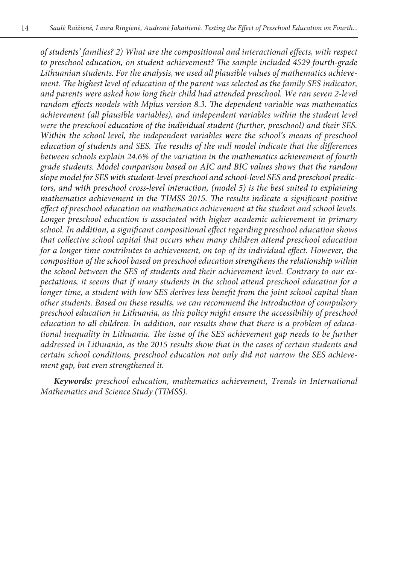*of students' families? 2) What are the compositional and interactional effects, with respect to preschool education, on student achievement? The sample included 4529 fourth-grade Lithuanian students. For the analysis, we used all plausible values of mathematics achievement. The highest level of education of the parent was selected as the family SES indicator, and parents were asked how long their child had attended preschool. We ran seven 2-level random effects models with Mplus version 8.3. The dependent variable was mathematics achievement (all plausible variables), and independent variables within the student level were the preschool education of the individual student (further, preschool) and their SES. Within the school level, the independent variables were the school's means of preschool education of students and SES. The results of the null model indicate that the differences between schools explain 24.6% of the variation in the mathematics achievement of fourth grade students. Model comparison based on AIC and BIC values shows that the random slope model for SES with student-level preschool and school-level SES and preschool predictors, and with preschool cross-level interaction, (model 5) is the best suited to explaining mathematics achievement in the TIMSS 2015. The results indicate a significant positive effect of preschool education on mathematics achievement at the student and school levels. Longer preschool education is associated with higher academic achievement in primary school. In addition, a significant compositional effect regarding preschool education shows that collective school capital that occurs when many children attend preschool education for a longer time contributes to achievement, on top of its individual effect. However, the composition of the school based on preschool education strengthens the relationship within the school between the SES of students and their achievement level. Contrary to our expectations, it seems that if many students in the school attend preschool education for a longer time, a student with low SES derives less benefit from the joint school capital than other students. Based on these results, we can recommend the introduction of compulsory preschool education in Lithuania, as this policy might ensure the accessibility of preschool education to all children. In addition, our results show that there is a problem of educational inequality in Lithuania. The issue of the SES achievement gap needs to be further addressed in Lithuania, as the 2015 results show that in the cases of certain students and certain school conditions, preschool education not only did not narrow the SES achievement gap, but even strengthened it.* 

*Keywords: preschool education, mathematics achievement, Trends in International Mathematics and Science Study (TIMSS).*